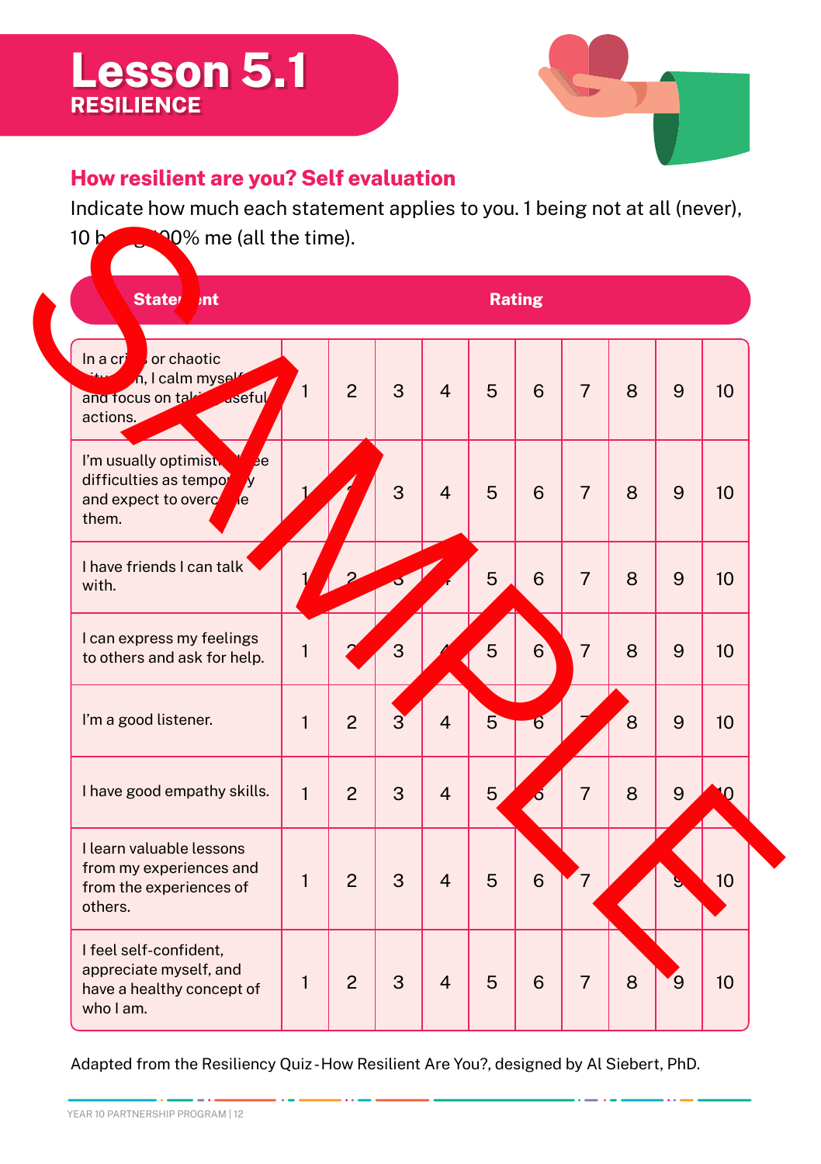## **Lesson 5.1 RESILIENCE**



## **How resilient are you? Self evaluation**

Indicate how much each statement applies to you. 1 being not at all (never),



Adapted from the Resiliency Quiz - How Resilient Are You?, designed by Al Siebert, PhD.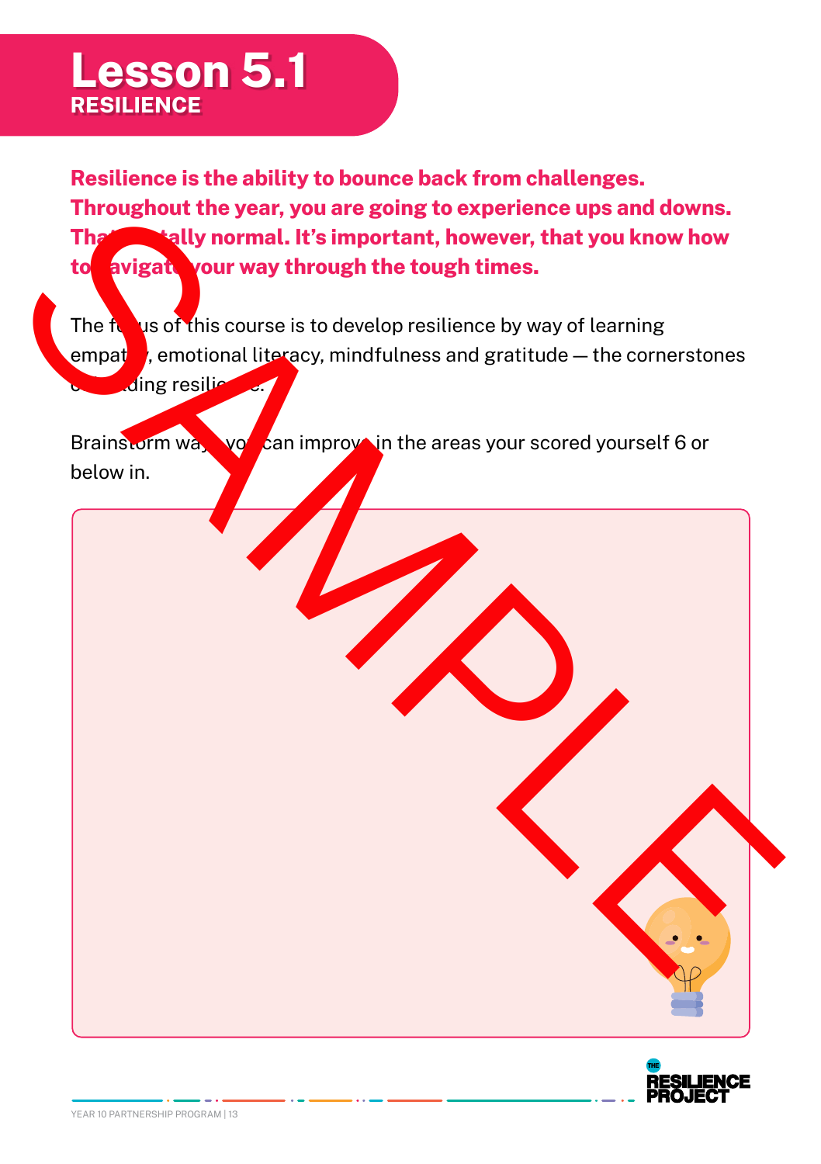## **Lesson 5.1 RESILIENCE**

**Resilience is the ability to bounce back from challenges. Throughout the year, you are going to experience ups and downs. That's totally normal. It's important, however, that you know how to navigate your way through the tough times.**

The  $\frac{1}{2}$  is of this course is to develop resilience by way of learning empat $\blacksquare$ , emotional literacy, mindfulness and gratitude — the cornerstones  $\mathcal{A}$ ing resilience.

Brainstorm way you can improva in the areas your scored yourself 6 or below in.



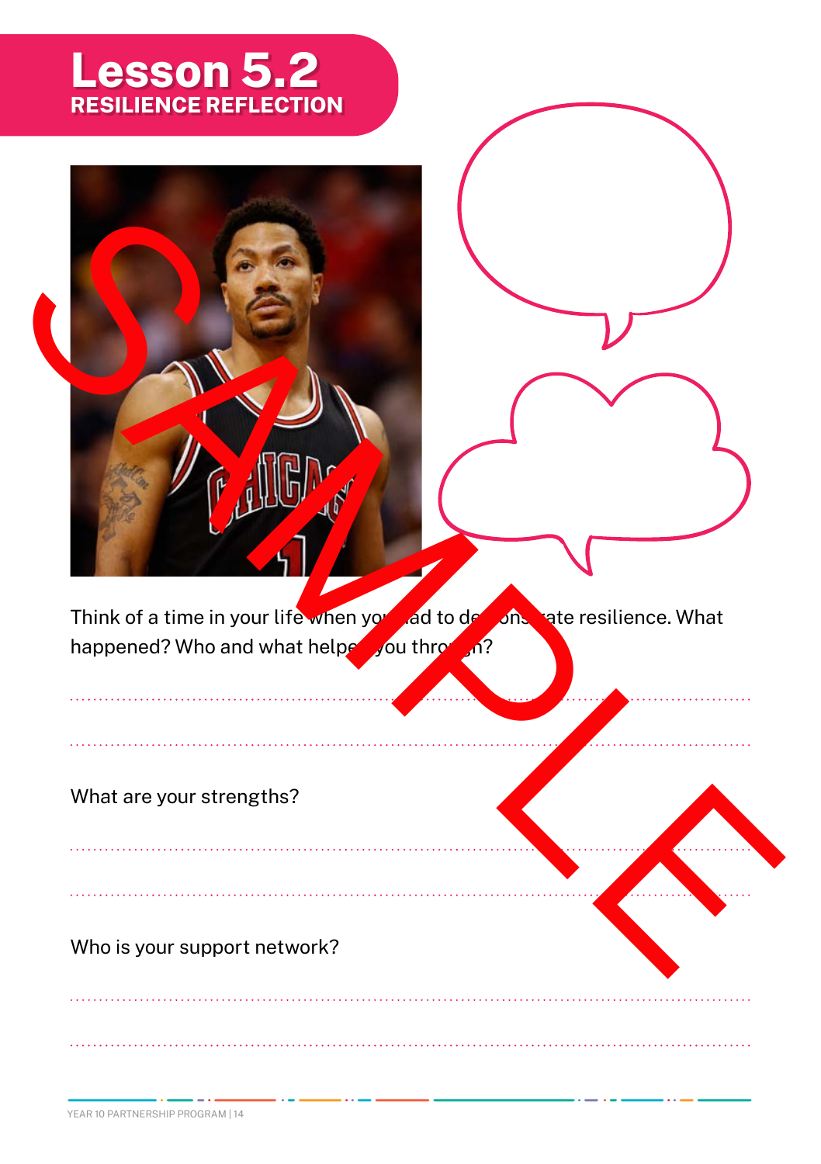## **Lesson 5.2 RESILIENCE REFLECTION**

Think of a time in your life when you had to demonstrate resilience. What happened? Who and what helped you through? Think of a time in your life when you do de the contract of the contract of the contract of the contract of the contract of the contract of the contract of the contract of the contract of the contract of the contract of th

What are your strengths?

Who is your support network?